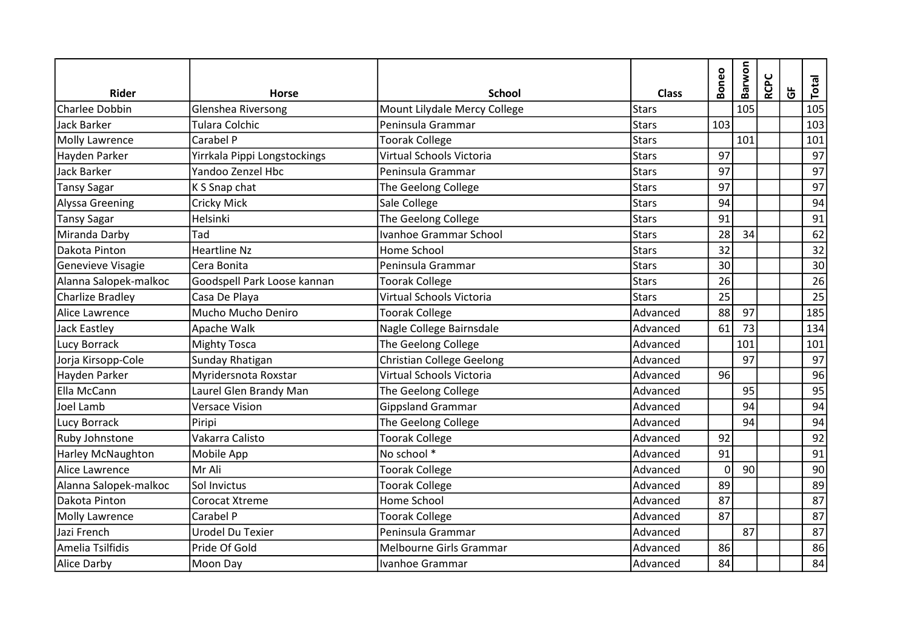| <b>Rider</b>             | <b>Horse</b>                 | <b>School</b>                                               | <b>Class</b> | Boneo | Barwon | <b>RCPC</b> | $\overline{G}$ | Total |
|--------------------------|------------------------------|-------------------------------------------------------------|--------------|-------|--------|-------------|----------------|-------|
| Charlee Dobbin           | Glenshea Riversong           | Mount Lilydale Mercy College                                | <b>Stars</b> |       | 105    |             |                | 105   |
| <b>Jack Barker</b>       | Tulara Colchic               | Peninsula Grammar                                           | <b>Stars</b> | 103   |        |             |                | 103   |
| <b>Molly Lawrence</b>    | Carabel P                    | <b>Toorak College</b>                                       | <b>Stars</b> |       | 101    |             |                | 101   |
| Hayden Parker            | Yirrkala Pippi Longstockings | Virtual Schools Victoria                                    | <b>Stars</b> | 97    |        |             |                | 97    |
| <b>Jack Barker</b>       | Yandoo Zenzel Hbc            | Peninsula Grammar                                           | <b>Stars</b> | 97    |        |             |                | 97    |
| <b>Tansy Sagar</b>       | K S Snap chat                | The Geelong College                                         | <b>Stars</b> | 97    |        |             |                | 97    |
| Alyssa Greening          | <b>Cricky Mick</b>           | Sale College                                                | <b>Stars</b> | 94    |        |             |                | 94    |
| <b>Tansy Sagar</b>       | Helsinki                     | The Geelong College                                         | Stars        | 91    |        |             |                | 91    |
| Miranda Darby            | Tad                          | Ivanhoe Grammar School                                      | <b>Stars</b> | 28    | 34     |             |                | 62    |
| Dakota Pinton            | <b>Heartline Nz</b>          | Home School                                                 | <b>Stars</b> | 32    |        |             |                | 32    |
| Genevieve Visagie        | Cera Bonita                  | Peninsula Grammar                                           | <b>Stars</b> | 30    |        |             |                | 30    |
| Alanna Salopek-malkoc    | Goodspell Park Loose kannan  | <b>Toorak College</b>                                       | <b>Stars</b> | 26    |        |             |                | 26    |
| <b>Charlize Bradley</b>  | Casa De Playa                | Virtual Schools Victoria                                    | <b>Stars</b> | 25    |        |             |                | 25    |
| Alice Lawrence           | Mucho Mucho Deniro           | <b>Toorak College</b>                                       | Advanced     | 88    | 97     |             |                | 185   |
| <b>Jack Eastley</b>      | Apache Walk                  | Nagle College Bairnsdale                                    | Advanced     | 61    | 73     |             |                | 134   |
| Lucy Borrack             | <b>Mighty Tosca</b>          | The Geelong College                                         | Advanced     |       | 101    |             |                | 101   |
| Jorja Kirsopp-Cole       | Sunday Rhatigan              | Christian College Geelong                                   | Advanced     |       | 97     |             |                | 97    |
| Hayden Parker            | Myridersnota Roxstar         | Virtual Schools Victoria                                    | Advanced     | 96    |        |             |                | 96    |
| Ella McCann              | Laurel Glen Brandy Man       | The Geelong College                                         | Advanced     |       | 95     |             |                | 95    |
| Joel Lamb                | <b>Versace Vision</b>        | Gippsland Grammar                                           | Advanced     |       | 94     |             |                | 94    |
| Lucy Borrack             | Piripi                       | The Geelong College                                         | Advanced     |       | 94     |             |                | 94    |
| Ruby Johnstone           | Vakarra Calisto              | <b>Toorak College</b>                                       | Advanced     | 92    |        |             |                | 92    |
| <b>Harley McNaughton</b> | Mobile App                   | $\overline{\phantom{a}}$ No school $\overline{\phantom{a}}$ | Advanced     | 91    |        |             |                | 91    |
| Alice Lawrence           | Mr Ali                       | <b>Toorak College</b>                                       | Advanced     | 0     | 90     |             |                | 90    |
| Alanna Salopek-malkoc    | Sol Invictus                 | <b>Toorak College</b>                                       | Advanced     | 89    |        |             |                | 89    |
| Dakota Pinton            | Corocat Xtreme               | Home School                                                 | Advanced     | 87    |        |             |                | 87    |
| Molly Lawrence           | Carabel P                    | <b>Toorak College</b>                                       | Advanced     | 87    |        |             |                | 87    |
| Jazi French              | Urodel Du Texier             | Peninsula Grammar                                           | Advanced     |       | 87     |             |                | 87    |
| Amelia Tsilfidis         | Pride Of Gold                | Melbourne Girls Grammar                                     | Advanced     | 86    |        |             |                | 86    |
| <b>Alice Darby</b>       | Moon Day                     | Ivanhoe Grammar                                             | Advanced     | 84    |        |             |                | 84    |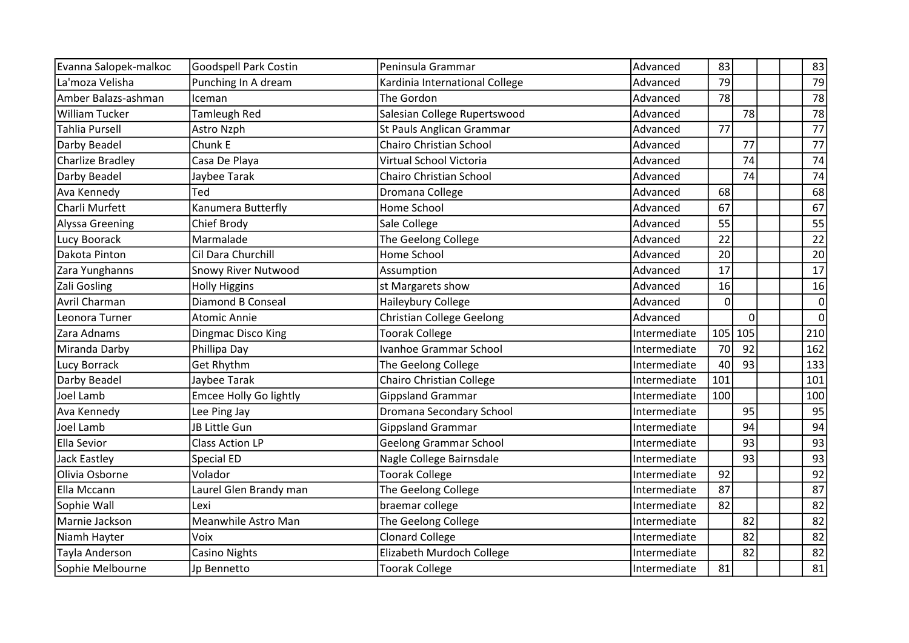| Evanna Salopek-malkoc   | Goodspell Park Costin         | Peninsula Grammar                | Advanced     | 83  |          |  | 83              |
|-------------------------|-------------------------------|----------------------------------|--------------|-----|----------|--|-----------------|
| La'moza Velisha         | Punching In A dream           | Kardinia International College   | Advanced     | 79  |          |  | 79              |
| Amber Balazs-ashman     | Iceman                        | The Gordon                       | Advanced     | 78  |          |  | 78              |
| William Tucker          | Tamleugh Red                  | Salesian College Rupertswood     | Advanced     |     | 78       |  | 78              |
| Tahlia Pursell          | Astro Nzph                    | St Pauls Anglican Grammar        | Advanced     | 77  |          |  | 77              |
| Darby Beadel            | Chunk E                       | Chairo Christian School          | Advanced     |     | 77       |  | 77              |
| <b>Charlize Bradley</b> | Casa De Playa                 | Virtual School Victoria          | Advanced     |     | 74       |  | 74              |
| Darby Beadel            | Jaybee Tarak                  | Chairo Christian School          | Advanced     |     | 74       |  | 74              |
| Ava Kennedy             | Ted                           | Dromana College                  | Advanced     | 68  |          |  | 68              |
| Charli Murfett          | Kanumera Butterfly            | Home School                      | Advanced     | 67  |          |  | 67              |
| Alyssa Greening         | Chief Brody                   | Sale College                     | Advanced     | 55  |          |  | 55              |
| Lucy Boorack            | Marmalade                     | <b>The Geelong College</b>       | Advanced     | 22  |          |  | 22              |
| Dakota Pinton           | Cil Dara Churchill            | Home School                      | Advanced     | 20  |          |  | 20              |
| Zara Yunghanns          | <b>Snowy River Nutwood</b>    | Assumption                       | Advanced     | 17  |          |  | 17              |
| Zali Gosling            | <b>Holly Higgins</b>          | st Margarets show                | Advanced     | 16  |          |  | 16              |
| Avril Charman           | <b>Diamond B Conseal</b>      | Haileybury College               | Advanced     | 0   |          |  | $\mathbf 0$     |
| Leonora Turner          | <b>Atomic Annie</b>           | <b>Christian College Geelong</b> | Advanced     |     | $\Omega$ |  | $\overline{0}$  |
| Zara Adnams             | Dingmac Disco King            | <b>Toorak College</b>            | Intermediate | 105 | 105      |  | 210             |
| Miranda Darby           | Phillipa Day                  | <b>Ivanhoe Grammar School</b>    | Intermediate | 70  | 92       |  | 162             |
| Lucy Borrack            | <b>Get Rhythm</b>             | <b>The Geelong College</b>       | Intermediate | 40  | 93       |  | 133             |
| Darby Beadel            | Jaybee Tarak                  | Chairo Christian College         | Intermediate | 101 |          |  | 101             |
| Joel Lamb               | <b>Emcee Holly Go lightly</b> | <b>Gippsland Grammar</b>         | Intermediate | 100 |          |  | 100             |
| Ava Kennedy             | Lee Ping Jay                  | Dromana Secondary School         | Intermediate |     | 95       |  | 95              |
| Joel Lamb               | JB Little Gun                 | <b>Gippsland Grammar</b>         | Intermediate |     | 94       |  | 94              |
| <b>Ella Sevior</b>      | <b>Class Action LP</b>        | <b>Geelong Grammar School</b>    | Intermediate |     | 93       |  | 93              |
| Jack Eastley            | Special ED                    | Nagle College Bairnsdale         | Intermediate |     | 93       |  | 93              |
| Olivia Osborne          | Volador                       | <b>Toorak College</b>            | Intermediate | 92  |          |  | $\overline{92}$ |
| Ella Mccann             | Laurel Glen Brandy man        | The Geelong College              | Intermediate | 87  |          |  | 87              |
| Sophie Wall             | Lexi                          | braemar college                  | Intermediate | 82  |          |  | 82              |
| Marnie Jackson          | Meanwhile Astro Man           | The Geelong College              | Intermediate |     | 82       |  | 82              |
| Niamh Hayter            | Voix                          | <b>Clonard College</b>           | Intermediate |     | 82       |  | 82              |
| Tayla Anderson          | <b>Casino Nights</b>          | Elizabeth Murdoch College        | Intermediate |     | 82       |  | 82              |
| Sophie Melbourne        | Jp Bennetto                   | <b>Toorak College</b>            | Intermediate | 81  |          |  | 81              |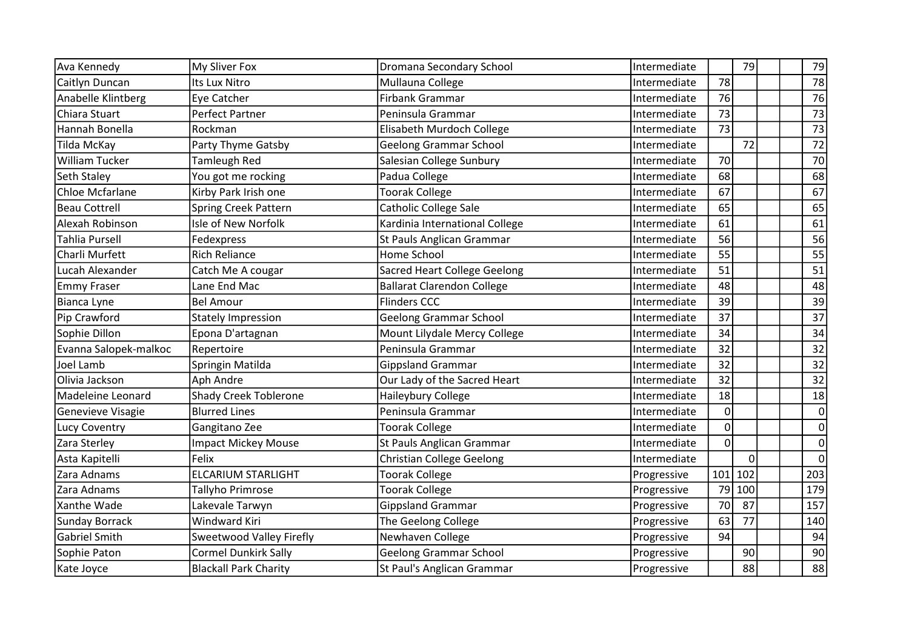| Ava Kennedy                         | My Sliver Fox                | Dromana Secondary School            | Intermediate |          | 79              |  | 79              |
|-------------------------------------|------------------------------|-------------------------------------|--------------|----------|-----------------|--|-----------------|
| Caitlyn Duncan                      | Its Lux Nitro                | Mullauna College                    | Intermediate | 78       |                 |  | 78              |
|                                     | Eye Catcher                  | Firbank Grammar                     | Intermediate | 76       |                 |  | 76              |
| Anabelle Klintberg<br>Chiara Stuart | <b>Perfect Partner</b>       | Peninsula Grammar                   |              | 73       |                 |  |                 |
|                                     |                              |                                     | Intermediate |          |                 |  | 73              |
| Hannah Bonella                      | Rockman                      | Elisabeth Murdoch College           | Intermediate | 73       |                 |  | 73              |
| Tilda McKay                         | Party Thyme Gatsby           | <b>Geelong Grammar School</b>       | Intermediate |          | 72              |  | 72              |
| William Tucker                      | <b>Tamleugh Red</b>          | Salesian College Sunbury            | Intermediate | 70       |                 |  | 70              |
| Seth Staley                         | You got me rocking           | Padua College                       | Intermediate | 68       |                 |  | 68              |
| Chloe Mcfarlane                     | Kirby Park Irish one         | <b>Toorak College</b>               | Intermediate | 67       |                 |  | 67              |
| <b>Beau Cottrell</b>                | Spring Creek Pattern         | Catholic College Sale               | Intermediate | 65       |                 |  | 65              |
| Alexah Robinson                     | Isle of New Norfolk          | Kardinia International College      | Intermediate | 61       |                 |  | 61              |
| Tahlia Pursell                      | Fedexpress                   | St Pauls Anglican Grammar           | Intermediate | 56       |                 |  | 56              |
| Charli Murfett                      | <b>Rich Reliance</b>         | Home School                         | Intermediate | 55       |                 |  | 55              |
| Lucah Alexander                     | Catch Me A cougar            | <b>Sacred Heart College Geelong</b> | Intermediate | 51       |                 |  | 51              |
| <b>Emmy Fraser</b>                  | Lane End Mac                 | <b>Ballarat Clarendon College</b>   | Intermediate | 48       |                 |  | 48              |
| Bianca Lyne                         | <b>Bel Amour</b>             | <b>Flinders CCC</b>                 | Intermediate | 39       |                 |  | 39              |
| Pip Crawford                        | <b>Stately Impression</b>    | <b>Geelong Grammar School</b>       | Intermediate | 37       |                 |  | 37              |
| Sophie Dillon                       | Epona D'artagnan             | Mount Lilydale Mercy College        | Intermediate | 34       |                 |  | 34              |
| Evanna Salopek-malkoc               | Repertoire                   | Peninsula Grammar                   | Intermediate | 32       |                 |  | 32              |
| Joel Lamb                           | Springin Matilda             | <b>Gippsland Grammar</b>            | Intermediate | 32       |                 |  | $\overline{32}$ |
| Olivia Jackson                      | Aph Andre                    | Our Lady of the Sacred Heart        | Intermediate | 32       |                 |  | 32              |
| Madeleine Leonard                   | Shady Creek Toblerone        | Haileybury College                  | Intermediate | 18       |                 |  | 18              |
| Genevieve Visagie                   | <b>Blurred Lines</b>         | Peninsula Grammar                   | Intermediate | $\Omega$ |                 |  | $\mathbf 0$     |
| Lucy Coventry                       | Gangitano Zee                | <b>Toorak College</b>               | Intermediate | 0        |                 |  | $\mathbf 0$     |
| Zara Sterley                        | <b>Impact Mickey Mouse</b>   | St Pauls Anglican Grammar           | Intermediate | $\Omega$ |                 |  | $\mathbf 0$     |
| Asta Kapitelli                      | Felix                        | <b>Christian College Geelong</b>    | Intermediate |          | $\Omega$        |  | $\Omega$        |
| Zara Adnams                         | <b>ELCARIUM STARLIGHT</b>    | <b>Toorak College</b>               | Progressive  | 101      | 102             |  | 203             |
| Zara Adnams                         | Tallyho Primrose             | <b>Toorak College</b>               | Progressive  | 79       | 100             |  | 179             |
| Xanthe Wade                         | Lakevale Tarwyn              | <b>Gippsland Grammar</b>            | Progressive  | 70       | 87              |  | 157             |
| <b>Sunday Borrack</b>               | Windward Kiri                | The Geelong College                 | Progressive  | 63       | 77              |  | 140             |
| <b>Gabriel Smith</b>                | Sweetwood Valley Firefly     | Newhaven College                    | Progressive  | 94       |                 |  | 94              |
| Sophie Paton                        | <b>Cormel Dunkirk Sally</b>  | <b>Geelong Grammar School</b>       | Progressive  |          | 90 <sub>0</sub> |  | 90              |
| Kate Joyce                          | <b>Blackall Park Charity</b> | St Paul's Anglican Grammar          | Progressive  |          | 88              |  | 88              |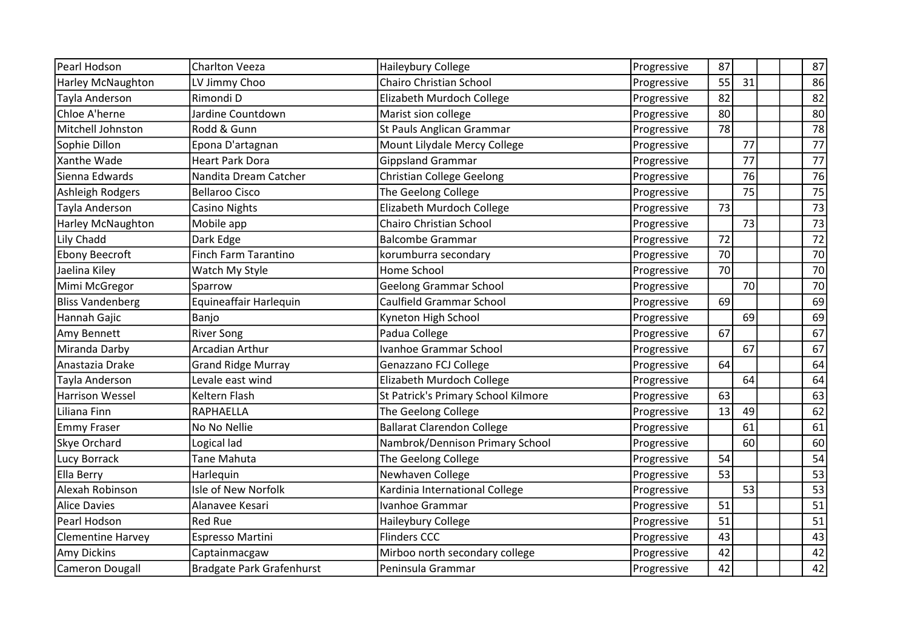| Pearl Hodson             | <b>Charlton Veeza</b>            | Haileybury College                  | Progressive | 87              |    |  | 87              |
|--------------------------|----------------------------------|-------------------------------------|-------------|-----------------|----|--|-----------------|
| <b>Harley McNaughton</b> | LV Jimmy Choo                    | Chairo Christian School             | Progressive | 55              | 31 |  | 86              |
| Tayla Anderson           | Rimondi D                        | Elizabeth Murdoch College           | Progressive | 82              |    |  | 82              |
| Chloe A'herne            | Jardine Countdown                | Marist sion college                 | Progressive | 80              |    |  | 80              |
| Mitchell Johnston        | Rodd & Gunn                      | St Pauls Anglican Grammar           | Progressive | 78              |    |  | $\overline{78}$ |
| Sophie Dillon            | Epona D'artagnan                 | Mount Lilydale Mercy College        | Progressive |                 | 77 |  | 77              |
| Xanthe Wade              | Heart Park Dora                  | <b>Gippsland Grammar</b>            | Progressive |                 | 77 |  | 77              |
| Sienna Edwards           | Nandita Dream Catcher            | <b>Christian College Geelong</b>    | Progressive |                 | 76 |  | 76              |
| Ashleigh Rodgers         | <b>Bellaroo Cisco</b>            | The Geelong College                 | Progressive |                 | 75 |  | 75              |
| Tayla Anderson           | <b>Casino Nights</b>             | Elizabeth Murdoch College           | Progressive | 73              |    |  | 73              |
| Harley McNaughton        | Mobile app                       | Chairo Christian School             | Progressive |                 | 73 |  | 73              |
| Lily Chadd               | Dark Edge                        | <b>Balcombe Grammar</b>             | Progressive | 72              |    |  | 72              |
| <b>Ebony Beecroft</b>    | Finch Farm Tarantino             | korumburra secondary                | Progressive | 70              |    |  | 70              |
| Jaelina Kiley            | Watch My Style                   | Home School                         | Progressive | 70              |    |  | 70              |
| Mimi McGregor            | Sparrow                          | <b>Geelong Grammar School</b>       | Progressive |                 | 70 |  | 70              |
| <b>Bliss Vandenberg</b>  | Equineaffair Harlequin           | Caulfield Grammar School            | Progressive | 69              |    |  | 69              |
| Hannah Gajic             | Banjo                            | Kyneton High School                 | Progressive |                 | 69 |  | 69              |
| Amy Bennett              | <b>River Song</b>                | Padua College                       | Progressive | 67              |    |  | 67              |
| Miranda Darby            | Arcadian Arthur                  | <b>Ivanhoe Grammar School</b>       | Progressive |                 | 67 |  | 67              |
| Anastazia Drake          | <b>Grand Ridge Murray</b>        | Genazzano FCJ College               | Progressive | 64              |    |  | 64              |
| Tayla Anderson           | Levale east wind                 | Elizabeth Murdoch College           | Progressive |                 | 64 |  | 64              |
| <b>Harrison Wessel</b>   | <b>Keltern Flash</b>             | St Patrick's Primary School Kilmore | Progressive | 63              |    |  | 63              |
| Liliana Finn             | <b>RAPHAELLA</b>                 | The Geelong College                 | Progressive | 13              | 49 |  | 62              |
| <b>Emmy Fraser</b>       | No No Nellie                     | <b>Ballarat Clarendon College</b>   | Progressive |                 | 61 |  | 61              |
| Skye Orchard             | Logical lad                      | Nambrok/Dennison Primary School     | Progressive |                 | 60 |  | 60              |
| Lucy Borrack             | Tane Mahuta                      | The Geelong College                 | Progressive | 54              |    |  | 54              |
| <b>Ella Berry</b>        | Harlequin                        | Newhaven College                    | Progressive | $\overline{53}$ |    |  | $\overline{53}$ |
| Alexah Robinson          | Isle of New Norfolk              | Kardinia International College      | Progressive |                 | 53 |  | $\overline{53}$ |
| <b>Alice Davies</b>      | Alanavee Kesari                  | Ivanhoe Grammar                     | Progressive | 51              |    |  | 51              |
| Pearl Hodson             | <b>Red Rue</b>                   | Haileybury College                  | Progressive | 51              |    |  | 51              |
| <b>Clementine Harvey</b> | Espresso Martini                 | <b>Flinders CCC</b>                 | Progressive | 43              |    |  | 43              |
| Amy Dickins              | Captainmacgaw                    | Mirboo north secondary college      | Progressive | 42              |    |  | 42              |
| Cameron Dougall          | <b>Bradgate Park Grafenhurst</b> | Peninsula Grammar                   | Progressive | 42              |    |  | 42              |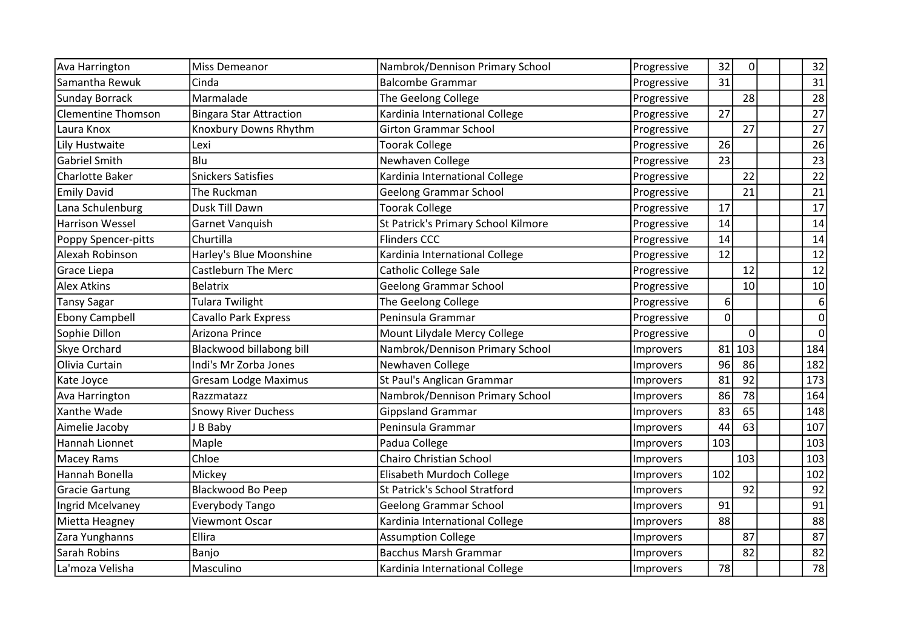| Ava Harrington            | Miss Demeanor                  | Nambrok/Dennison Primary School      | Progressive      | 32             | 0               | 32               |
|---------------------------|--------------------------------|--------------------------------------|------------------|----------------|-----------------|------------------|
| Samantha Rewuk            | Cinda                          | <b>Balcombe Grammar</b>              | Progressive      | 31             |                 | 31               |
| <b>Sunday Borrack</b>     | Marmalade                      | The Geelong College                  | Progressive      |                | 28              | 28               |
| <b>Clementine Thomson</b> | <b>Bingara Star Attraction</b> | Kardinia International College       | Progressive      | 27             |                 | 27               |
| Laura Knox                | Knoxbury Downs Rhythm          | <b>Girton Grammar School</b>         | Progressive      |                | 27              | 27               |
| Lily Hustwaite            | Lexi                           | <b>Toorak College</b>                | Progressive      | 26             |                 | 26               |
| <b>Gabriel Smith</b>      | Blu                            | Newhaven College                     | Progressive      | 23             |                 | 23               |
| <b>Charlotte Baker</b>    | <b>Snickers Satisfies</b>      | Kardinia International College       | Progressive      |                | 22              | 22               |
| <b>Emily David</b>        | The Ruckman                    | <b>Geelong Grammar School</b>        | Progressive      |                | 21              | 21               |
| Lana Schulenburg          | Dusk Till Dawn                 | <b>Toorak College</b>                | Progressive      | 17             |                 | 17               |
| <b>Harrison Wessel</b>    | Garnet Vanquish                | St Patrick's Primary School Kilmore  | Progressive      | 14             |                 | 14               |
| Poppy Spencer-pitts       | Churtilla                      | <b>Flinders CCC</b>                  | Progressive      | 14             |                 | 14               |
| Alexah Robinson           | Harley's Blue Moonshine        | Kardinia International College       | Progressive      | 12             |                 | 12               |
| Grace Liepa               | Castleburn The Merc            | Catholic College Sale                | Progressive      |                | 12              | 12               |
| <b>Alex Atkins</b>        | <b>Belatrix</b>                | <b>Geelong Grammar School</b>        | Progressive      |                | 10 <sup>1</sup> | 10               |
| <b>Tansy Sagar</b>        | <b>Tulara Twilight</b>         | The Geelong College                  | Progressive      | 6              |                 | $\boldsymbol{6}$ |
| <b>Ebony Campbell</b>     | <b>Cavallo Park Express</b>    | Peninsula Grammar                    | Progressive      | $\overline{0}$ |                 | $\overline{0}$   |
| Sophie Dillon             | Arizona Prince                 | Mount Lilydale Mercy College         | Progressive      |                | $\Omega$        | $\overline{0}$   |
| Skye Orchard              | Blackwood billabong bill       | Nambrok/Dennison Primary School      | Improvers        | 81             | 103             | 184              |
| Olivia Curtain            | Indi's Mr Zorba Jones          | Newhaven College                     | Improvers        | 96             | 86              | 182              |
| Kate Joyce                | <b>Gresam Lodge Maximus</b>    | St Paul's Anglican Grammar           | Improvers        | 81             | 92              | 173              |
| Ava Harrington            | Razzmatazz                     | Nambrok/Dennison Primary School      | Improvers        | 86             | 78              | 164              |
| Xanthe Wade               | <b>Snowy River Duchess</b>     | <b>Gippsland Grammar</b>             | <b>Improvers</b> | 83             | 65              | 148              |
| Aimelie Jacoby            | J B Baby                       | Peninsula Grammar                    | Improvers        | 44             | 63              | 107              |
| Hannah Lionnet            | Maple                          | Padua College                        | Improvers        | 103            |                 | 103              |
| Macey Rams                | Chloe                          | <b>Chairo Christian School</b>       | Improvers        |                | 103             | 103              |
| Hannah Bonella            | Mickey                         | Elisabeth Murdoch College            | <b>Improvers</b> | 102            |                 | 102              |
| <b>Gracie Gartung</b>     | Blackwood Bo Peep              | <b>St Patrick's School Stratford</b> | Improvers        |                | 92              | 92               |
| Ingrid Mcelvaney          | Everybody Tango                | <b>Geelong Grammar School</b>        | Improvers        | 91             |                 | 91               |
| Mietta Heagney            | Viewmont Oscar                 | Kardinia International College       | Improvers        | 88             |                 | 88               |
| Zara Yunghanns            | Ellira                         | <b>Assumption College</b>            | Improvers        |                | 87              | 87               |
| Sarah Robins              | Banjo                          | <b>Bacchus Marsh Grammar</b>         | Improvers        |                | 82              | 82               |
| La'moza Velisha           | Masculino                      | Kardinia International College       | Improvers        | 78             |                 | 78               |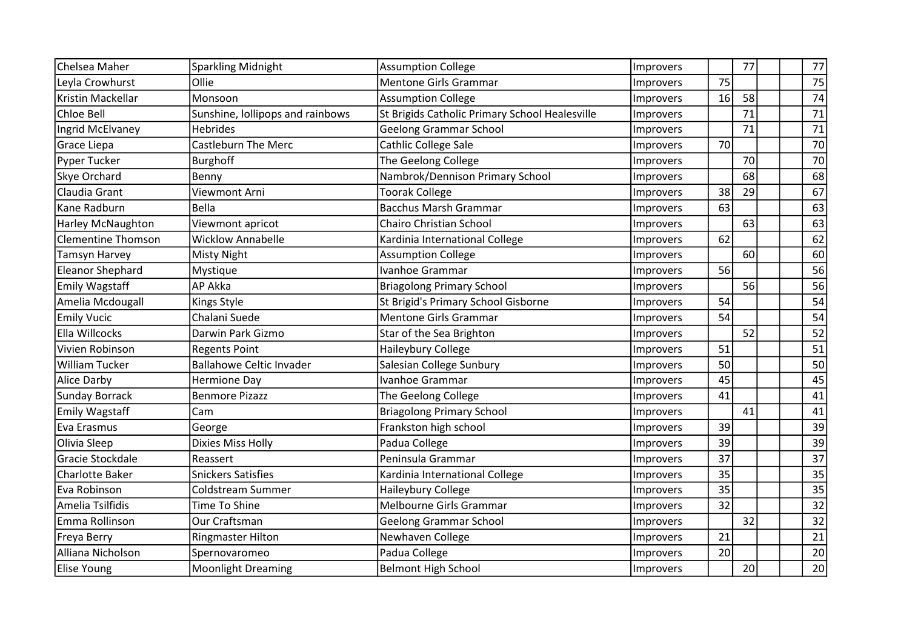| Chelsea Maher             | Sparkling Midnight               | <b>Assumption College</b>                      | Improvers        |    | 77 |  | 77              |
|---------------------------|----------------------------------|------------------------------------------------|------------------|----|----|--|-----------------|
| Leyla Crowhurst           | Ollie                            | <b>Mentone Girls Grammar</b>                   | Improvers        | 75 |    |  | 75              |
| Kristin Mackellar         | Monsoon                          | <b>Assumption College</b>                      | Improvers        | 16 | 58 |  | 74              |
| Chloe Bell                | Sunshine, lollipops and rainbows | St Brigids Catholic Primary School Healesville | Improvers        |    | 71 |  | 71              |
| Ingrid McElvaney          | <b>Hebrides</b>                  | <b>Geelong Grammar School</b>                  | Improvers        |    | 71 |  | 71              |
| Grace Liepa               | <b>Castleburn The Merc</b>       | Cathlic College Sale                           | Improvers        | 70 |    |  | 70              |
| Pyper Tucker              | <b>Burghoff</b>                  | The Geelong College                            | Improvers        |    | 70 |  | 70              |
| Skye Orchard              | Benny                            | Nambrok/Dennison Primary School                | Improvers        |    | 68 |  | 68              |
| Claudia Grant             | Viewmont Arni                    | <b>Toorak College</b>                          | Improvers        | 38 | 29 |  | 67              |
| Kane Radburn              | <b>Bella</b>                     | <b>Bacchus Marsh Grammar</b>                   | Improvers        | 63 |    |  | 63              |
| <b>Harley McNaughton</b>  | Viewmont apricot                 | Chairo Christian School                        | Improvers        |    | 63 |  | 63              |
| <b>Clementine Thomson</b> | <b>Wicklow Annabelle</b>         | Kardinia International College                 | Improvers        | 62 |    |  | 62              |
| Tamsyn Harvey             | Misty Night                      | <b>Assumption College</b>                      | Improvers        |    | 60 |  | 60              |
| <b>Eleanor Shephard</b>   | Mystique                         | Ivanhoe Grammar                                | Improvers        | 56 |    |  | 56              |
| <b>Emily Wagstaff</b>     | AP Akka                          | <b>Briagolong Primary School</b>               | Improvers        |    | 56 |  | 56              |
| Amelia Mcdougall          | Kings Style                      | St Brigid's Primary School Gisborne            | Improvers        | 54 |    |  | 54              |
| <b>Emily Vucic</b>        | Chalani Suede                    | <b>Mentone Girls Grammar</b>                   | Improvers        | 54 |    |  | 54              |
| Ella Willcocks            | Darwin Park Gizmo                | Star of the Sea Brighton                       | Improvers        |    | 52 |  | 52              |
| Vivien Robinson           | <b>Regents Point</b>             | Haileybury College                             | <b>Improvers</b> | 51 |    |  | 51              |
| William Tucker            | <b>Ballahowe Celtic Invader</b>  | Salesian College Sunbury                       | Improvers        | 50 |    |  | 50              |
| Alice Darby               | <b>Hermione Day</b>              | Ivanhoe Grammar                                | Improvers        | 45 |    |  | 45              |
| <b>Sunday Borrack</b>     | <b>Benmore Pizazz</b>            | The Geelong College                            | Improvers        | 41 |    |  | 41              |
| <b>Emily Wagstaff</b>     | Cam                              | <b>Briagolong Primary School</b>               | Improvers        |    | 41 |  | 41              |
| Eva Erasmus               | George                           | Frankston high school                          | Improvers        | 39 |    |  | 39              |
| Olivia Sleep              | Dixies Miss Holly                | Padua College                                  | Improvers        | 39 |    |  | 39              |
| Gracie Stockdale          | Reassert                         | Peninsula Grammar                              | Improvers        | 37 |    |  | 37              |
| <b>Charlotte Baker</b>    | <b>Snickers Satisfies</b>        | Kardinia International College                 | <b>Improvers</b> | 35 |    |  | $\overline{35}$ |
| Eva Robinson              | <b>Coldstream Summer</b>         | Haileybury College                             | Improvers        | 35 |    |  | 35              |
| Amelia Tsilfidis          | <b>Time To Shine</b>             | Melbourne Girls Grammar                        | Improvers        | 32 |    |  | 32              |
| Emma Rollinson            | <b>Our Craftsman</b>             | <b>Geelong Grammar School</b>                  | Improvers        |    | 32 |  | 32              |
| Freya Berry               | <b>Ringmaster Hilton</b>         | Newhaven College                               | Improvers        | 21 |    |  | 21              |
| Alliana Nicholson         | Spernovaromeo                    | Padua College                                  | Improvers        | 20 |    |  | 20              |
| <b>Elise Young</b>        | <b>Moonlight Dreaming</b>        | <b>Belmont High School</b>                     | Improvers        |    | 20 |  | 20              |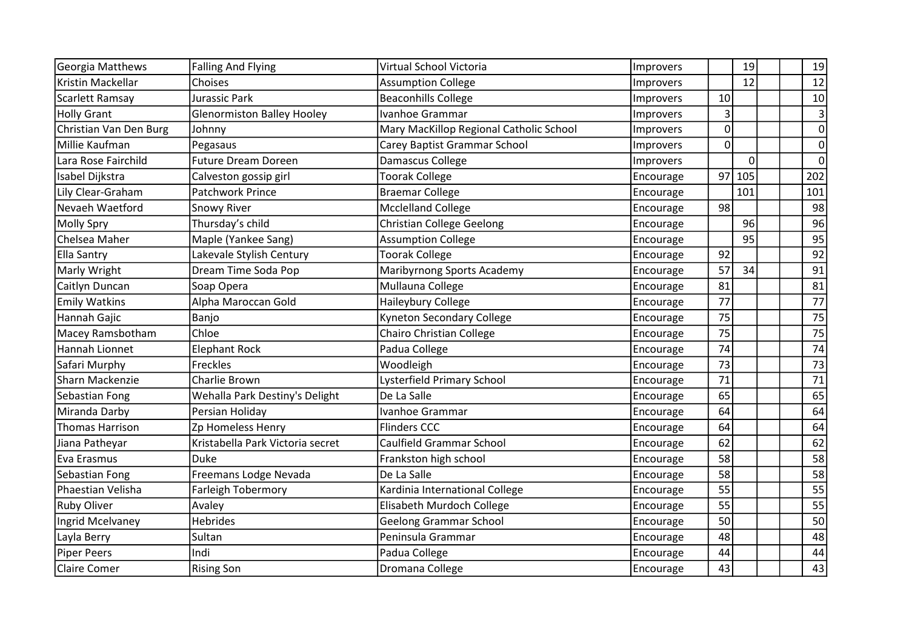| Georgia Matthews       | <b>Falling And Flying</b>         | Virtual School Victoria                 | Improvers |    | 19       | 19               |
|------------------------|-----------------------------------|-----------------------------------------|-----------|----|----------|------------------|
| Kristin Mackellar      | Choises                           | <b>Assumption College</b>               | Improvers |    | 12       | 12               |
| Scarlett Ramsay        | Jurassic Park                     | <b>Beaconhills College</b>              | Improvers | 10 |          | 10               |
| <b>Holly Grant</b>     | <b>Glenormiston Balley Hooley</b> | Ivanhoe Grammar                         | Improvers | 3  |          | 3                |
| Christian Van Den Burg | Johnny                            | Mary MacKillop Regional Catholic School | Improvers | 0  |          | $\boldsymbol{0}$ |
| Millie Kaufman         | Pegasaus                          | Carey Baptist Grammar School            | Improvers | 0  |          | $\overline{0}$   |
| Lara Rose Fairchild    | <b>Future Dream Doreen</b>        | Damascus College                        | Improvers |    | $\Omega$ | $\overline{0}$   |
| Isabel Dijkstra        | Calveston gossip girl             | <b>Toorak College</b>                   | Encourage | 97 | 105      | 202              |
| Lily Clear-Graham      | Patchwork Prince                  | <b>Braemar College</b>                  | Encourage |    | 101      | 101              |
| Nevaeh Waetford        | Snowy River                       | <b>Mcclelland College</b>               | Encourage | 98 |          | 98               |
| Molly Spry             | Thursday's child                  | <b>Christian College Geelong</b>        | Encourage |    | 96       | 96               |
| Chelsea Maher          | Maple (Yankee Sang)               | <b>Assumption College</b>               | Encourage |    | 95       | 95               |
| <b>Ella Santry</b>     | Lakevale Stylish Century          | <b>Toorak College</b>                   | Encourage | 92 |          | 92               |
| Marly Wright           | Dream Time Soda Pop               | Maribyrnong Sports Academy              | Encourage | 57 | 34       | 91               |
| Caitlyn Duncan         | Soap Opera                        | Mullauna College                        | Encourage | 81 |          | 81               |
| <b>Emily Watkins</b>   | Alpha Maroccan Gold               | Haileybury College                      | Encourage | 77 |          | 77               |
| Hannah Gajic           | Banjo                             | <b>Kyneton Secondary College</b>        | Encourage | 75 |          | 75               |
| Macey Ramsbotham       | Chloe                             | <b>Chairo Christian College</b>         | Encourage | 75 |          | 75               |
| Hannah Lionnet         | <b>Elephant Rock</b>              | Padua College                           | Encourage | 74 |          | 74               |
| Safari Murphy          | Freckles                          | Woodleigh                               | Encourage | 73 |          | 73               |
| Sharn Mackenzie        | Charlie Brown                     | Lysterfield Primary School              | Encourage | 71 |          | 71               |
| Sebastian Fong         | Wehalla Park Destiny's Delight    | De La Salle                             | Encourage | 65 |          | 65               |
| Miranda Darby          | Persian Holiday                   | Ivanhoe Grammar                         | Encourage | 64 |          | 64               |
| <b>Thomas Harrison</b> | Zp Homeless Henry                 | <b>Flinders CCC</b>                     | Encourage | 64 |          | 64               |
| Jiana Patheyar         | Kristabella Park Victoria secret  | Caulfield Grammar School                | Encourage | 62 |          | 62               |
| Eva Erasmus            | Duke                              | Frankston high school                   | Encourage | 58 |          | 58               |
| Sebastian Fong         | Freemans Lodge Nevada             | De La Salle                             | Encourage | 58 |          | $\overline{58}$  |
| Phaestian Velisha      | Farleigh Tobermory                | Kardinia International College          | Encourage | 55 |          | 55               |
| Ruby Oliver            | Avaley                            | Elisabeth Murdoch College               | Encourage | 55 |          | 55               |
| Ingrid Mcelvaney       | <b>Hebrides</b>                   | <b>Geelong Grammar School</b>           | Encourage | 50 |          | 50               |
| Layla Berry            | Sultan                            | Peninsula Grammar                       | Encourage | 48 |          | 48               |
| <b>Piper Peers</b>     | Indi                              | Padua College                           | Encourage | 44 |          | 44               |
| <b>Claire Comer</b>    | <b>Rising Son</b>                 | Dromana College                         | Encourage | 43 |          | 43               |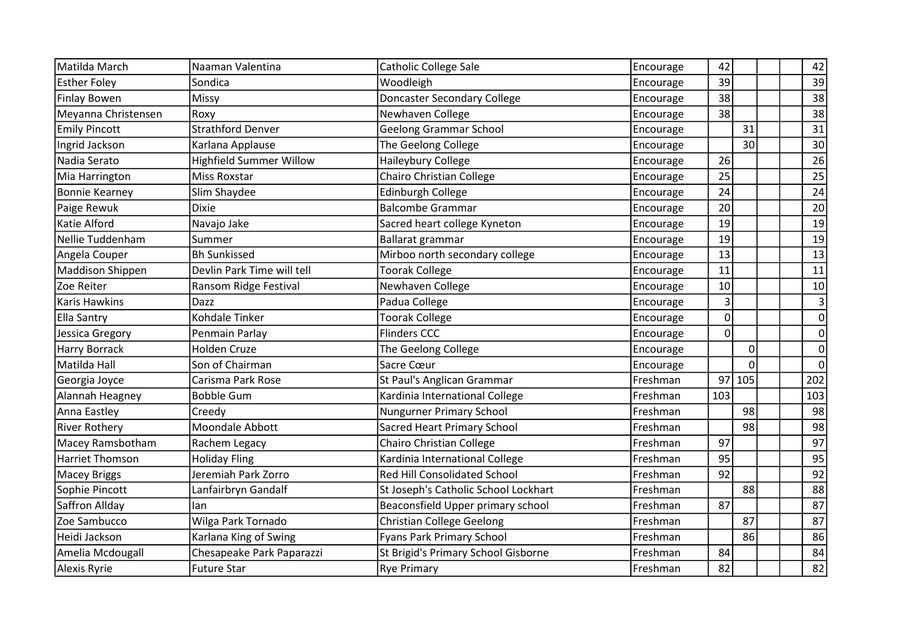| Matilda March          | Naaman Valentina               | <b>Catholic College Sale</b>         | Encourage | 42          |                 | 42             |
|------------------------|--------------------------------|--------------------------------------|-----------|-------------|-----------------|----------------|
| <b>Esther Folev</b>    | Sondica                        | Woodleigh                            | Encourage | 39          |                 | 39             |
| <b>Finlay Bowen</b>    | Missy                          | <b>Doncaster Secondary College</b>   | Encourage | 38          |                 | 38             |
| Meyanna Christensen    | Roxy                           | Newhaven College                     | Encourage | 38          |                 | 38             |
| <b>Emily Pincott</b>   | <b>Strathford Denver</b>       | <b>Geelong Grammar School</b>        | Encourage |             | 31              | 31             |
| Ingrid Jackson         | Karlana Applause               | The Geelong College                  | Encourage |             | 30 <sup>1</sup> | 30             |
| Nadia Serato           | <b>Highfield Summer Willow</b> | Haileybury College                   | Encourage | 26          |                 | 26             |
| Mia Harrington         | <b>Miss Roxstar</b>            | <b>Chairo Christian College</b>      | Encourage | 25          |                 | 25             |
| <b>Bonnie Kearney</b>  | Slim Shaydee                   | Edinburgh College                    | Encourage | 24          |                 | 24             |
| Paige Rewuk            | <b>Dixie</b>                   | <b>Balcombe Grammar</b>              | Encourage | 20          |                 | 20             |
| Katie Alford           | Navajo Jake                    | Sacred heart college Kyneton         | Encourage | 19          |                 | 19             |
| Nellie Tuddenham       | Summer                         | Ballarat grammar                     | Encourage | 19          |                 | 19             |
| Angela Couper          | <b>Bh Sunkissed</b>            | Mirboo north secondary college       | Encourage | 13          |                 | 13             |
| Maddison Shippen       | Devlin Park Time will tell     | <b>Toorak College</b>                | Encourage | 11          |                 | 11             |
| Zoe Reiter             | Ransom Ridge Festival          | Newhaven College                     | Encourage | 10          |                 | 10             |
| Karis Hawkins          | Dazz                           | Padua College                        | Encourage | 3           |                 | $\overline{3}$ |
| <b>Ella Santry</b>     | Kohdale Tinker                 | <b>Toorak College</b>                | Encourage | $\mathbf 0$ |                 | $\overline{0}$ |
| Jessica Gregory        | Penmain Parlay                 | <b>Flinders CCC</b>                  | Encourage | 0           |                 | $\overline{0}$ |
| <b>Harry Borrack</b>   | <b>Holden Cruze</b>            | The Geelong College                  | Encourage |             | $\Omega$        | $\overline{0}$ |
| Matilda Hall           | Son of Chairman                | Sacre Cœur                           | Encourage |             | $\Omega$        | $\mathbf 0$    |
| Georgia Joyce          | Carisma Park Rose              | St Paul's Anglican Grammar           | Freshman  | 97          | 105             | 202            |
| Alannah Heagney        | <b>Bobble Gum</b>              | Kardinia International College       | Freshman  | 103         |                 | 103            |
| Anna Eastley           | Creedy                         | <b>Nungurner Primary School</b>      | Freshman  |             | 98              | 98             |
| <b>River Rothery</b>   | Moondale Abbott                | Sacred Heart Primary School          | Freshman  |             | 98              | 98             |
| Macey Ramsbotham       | Rachem Legacy                  | <b>Chairo Christian College</b>      | Freshman  | 97          |                 | 97             |
| <b>Harriet Thomson</b> | <b>Holiday Fling</b>           | Kardinia International College       | Freshman  | 95          |                 | 95             |
| <b>Macey Briggs</b>    | Jeremiah Park Zorro            | <b>Red Hill Consolidated School</b>  | Freshman  | 92          |                 | 92             |
| Sophie Pincott         | Lanfairbryn Gandalf            | St Joseph's Catholic School Lockhart | Freshman  |             | 88              | 88             |
| Saffron Allday         | Ian                            | Beaconsfield Upper primary school    | Freshman  | 87          |                 | 87             |
| Zoe Sambucco           | Wilga Park Tornado             | <b>Christian College Geelong</b>     | Freshman  |             | 87              | 87             |
| Heidi Jackson          | Karlana King of Swing          | <b>Fyans Park Primary School</b>     | Freshman  |             | 86              | 86             |
| Amelia Mcdougall       | Chesapeake Park Paparazzi      | St Brigid's Primary School Gisborne  | Freshman  | 84          |                 | 84             |
| <b>Alexis Ryrie</b>    | Future Star                    | <b>Rye Primary</b>                   | Freshman  | 82          |                 | 82             |